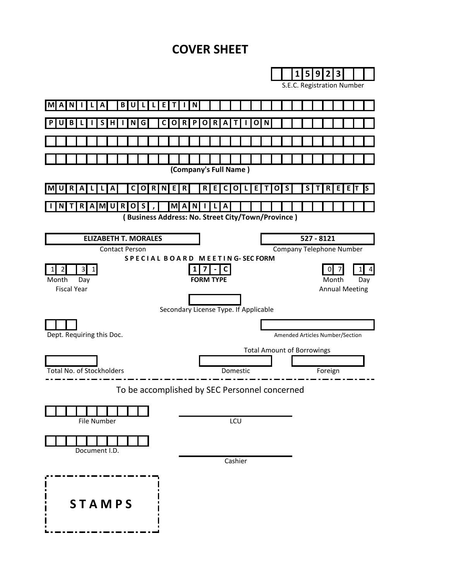# **COVER SHEET**

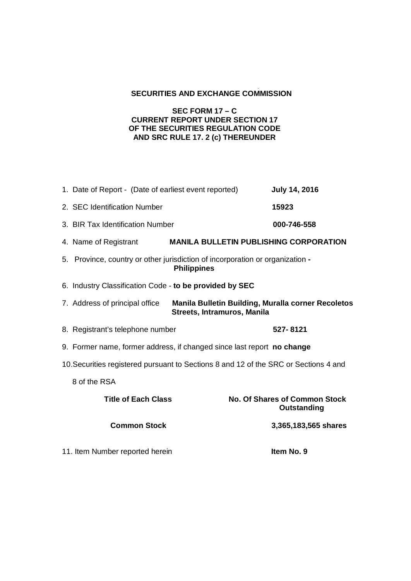# **SECURITIES AND EXCHANGE COMMISSION**

## **SEC FORM 17 – C CURRENT REPORT UNDER SECTION 17 OF THE SECURITIES REGULATION CODE AND SRC RULE 17. 2 (c) THEREUNDER**

|                                                                                      | 1. Date of Report - (Date of earliest event reported)                                               | <b>July 14, 2016</b>                                                                     |
|--------------------------------------------------------------------------------------|-----------------------------------------------------------------------------------------------------|------------------------------------------------------------------------------------------|
|                                                                                      | 2. SEC Identification Number                                                                        | 15923                                                                                    |
|                                                                                      | 3. BIR Tax Identification Number                                                                    | 000-746-558                                                                              |
|                                                                                      | 4. Name of Registrant                                                                               | <b>MANILA BULLETIN PUBLISHING CORPORATION</b>                                            |
|                                                                                      | 5. Province, country or other jurisdiction of incorporation or organization -<br><b>Philippines</b> |                                                                                          |
|                                                                                      | 6. Industry Classification Code - to be provided by SEC                                             |                                                                                          |
|                                                                                      | 7. Address of principal office                                                                      | <b>Manila Bulletin Building, Muralla corner Recoletos</b><br>Streets, Intramuros, Manila |
|                                                                                      | 8. Registrant's telephone number                                                                    | 527-8121                                                                                 |
|                                                                                      | 9. Former name, former address, if changed since last report no change                              |                                                                                          |
| 10. Securities registered pursuant to Sections 8 and 12 of the SRC or Sections 4 and |                                                                                                     |                                                                                          |
|                                                                                      | 8 of the RSA                                                                                        |                                                                                          |
|                                                                                      | <b>Title of Each Class</b>                                                                          | <b>No. Of Shares of Common Stock</b><br>Outstanding                                      |
|                                                                                      | <b>Common Stock</b>                                                                                 | 3,365,183,565 shares                                                                     |
|                                                                                      | 11. Item Number reported herein                                                                     | Item No. 9                                                                               |